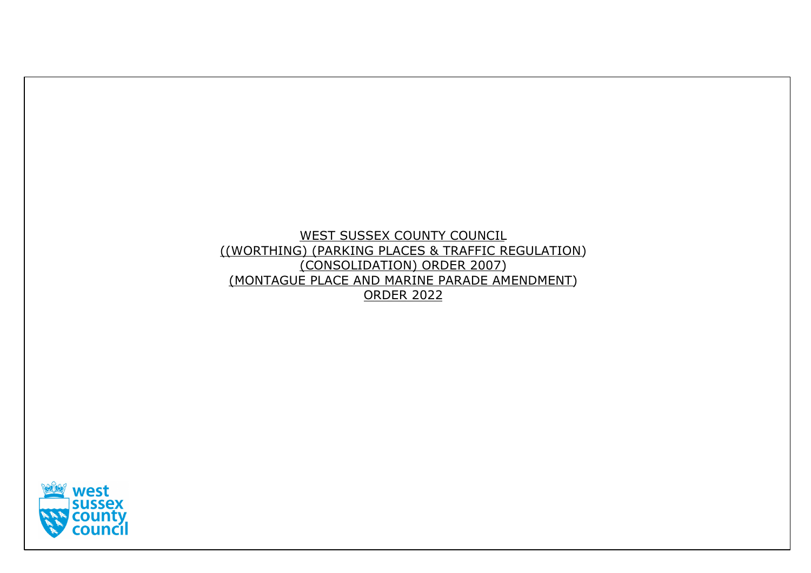# WEST SUSSEX COUNTY COUNCIL ((WORTHING) (PARKING PLACES & TRAFFIC REGULATION) (CONSOLIDATION) ORDER 2007) (MONTAGUE PLACE AND MARINE PARADE AMENDMENT) ORDER 2022

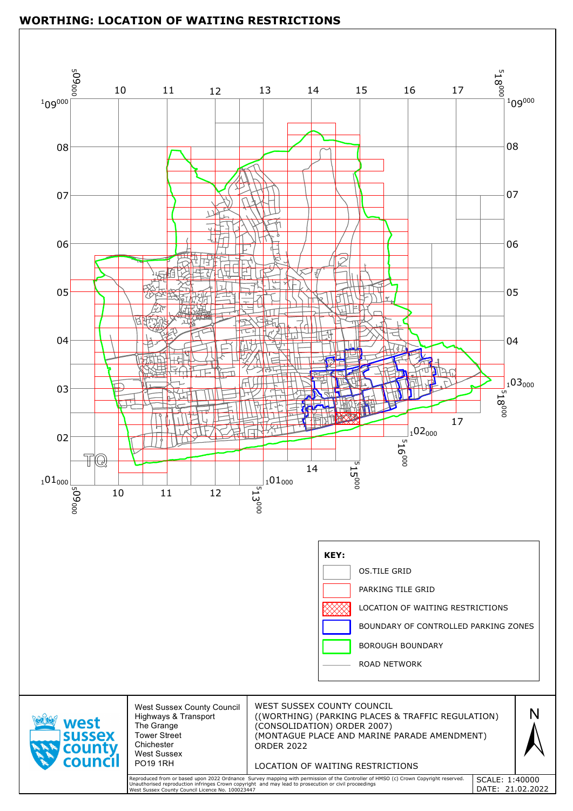

|                                                   |                                                                                                                                                           | <u>XXXX</u><br>BOUNDARY OF CONTROLLED PARKING ZONES<br><b>BOROUGH BOUNDARY</b><br><b>ROAD NETWORK</b>                                                                                                                                      |                                    |  |
|---------------------------------------------------|-----------------------------------------------------------------------------------------------------------------------------------------------------------|--------------------------------------------------------------------------------------------------------------------------------------------------------------------------------------------------------------------------------------------|------------------------------------|--|
| <b>west</b><br><b>SUSSEX</b><br>county<br>council | <b>West Sussex County Council</b><br><b>Highways &amp; Transport</b><br>The Grange<br>Tower Street<br>Chichester<br><b>West Sussex</b><br><b>PO19 1RH</b> | WEST SUSSEX COUNTY COUNCIL<br>((WORTHING) (PARKING PLACES & TRAFFIC REGULATION)<br>(CONSOLIDATION) ORDER 2007)<br>(MONTAGUE PLACE AND MARINE PARADE AMENDMENT)<br><b>ORDER 2022</b><br>LOCATION OF WAITING RESTRICTIONS                    |                                    |  |
|                                                   | West Sussex County Council Licence No. 100023447                                                                                                          | Reproduced from or based upon 2022 Ordnance Survey mapping with permission of the Controller of HMSO (c) Crown Copyright reserved.<br>Unauthorised reproduction infringes Crown copyright and may lead to prosecution or civil proceedings | SCALE: 1:40000<br>DATE: 21.02.2022 |  |

# **WORTHING: LOCATION OF WAITING RESTRICTIONS**

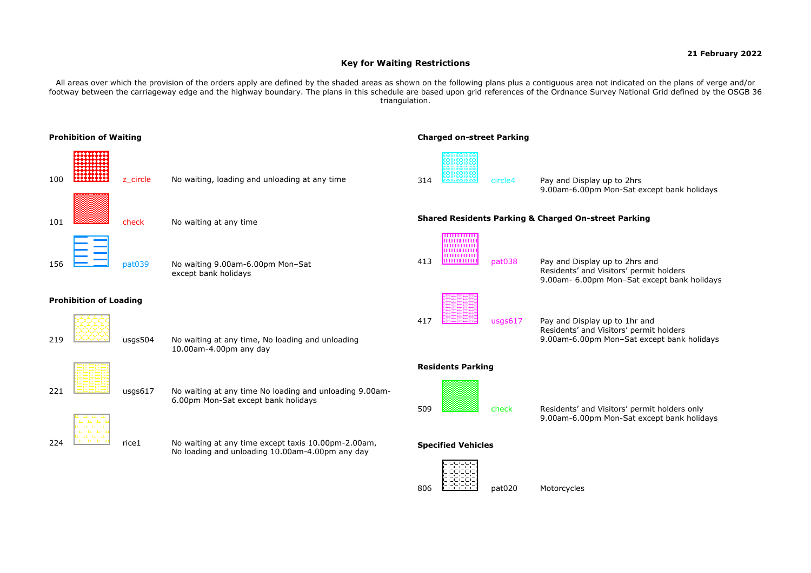# **21 February 2022**

# **Key for Waiting Restrictions**

All areas over which the provision of the orders apply are defined by the shaded areas as shown on the following plans plus a contiguous area not indicated on the plans of verge and/or footway between the carriageway edge and the highway boundary. The plans in this schedule are based upon grid references of the Ordnance Survey National Grid defined by the OSGB 36 triangulation.

806 **CECEED pat020** Motorcycles



9.00am-6.00pm Mon-Sat except bank holidays

Residents' and Visitors' permit holders 9.00am- 6.00pm Mon–Sat except bank holidays

Residents' and Visitors' permit holders 9.00am-6.00pm Mon–Sat except bank holidays

9.00am-6.00pm Mon-Sat except bank holidays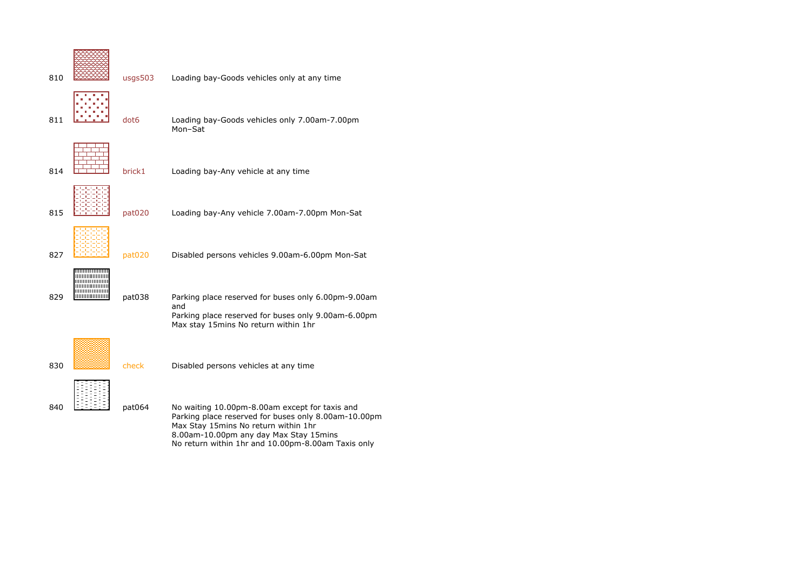| 810 | usgs503 | Loading bay-Goods vehicles only at any time                                                                                                                                              |
|-----|---------|------------------------------------------------------------------------------------------------------------------------------------------------------------------------------------------|
| 811 | dot6    | Loading bay-Goods vehicles only 7.00am-7.00pm<br>Mon-Sat                                                                                                                                 |
| 814 | brick1  | Loading bay-Any vehicle at any time                                                                                                                                                      |
| 815 | pat020  | Loading bay-Any vehicle 7.00am-7.00pm Mon-Sat                                                                                                                                            |
| 827 | pat020  | Disabled persons vehicles 9.00am-6.00pm Mon-Sat                                                                                                                                          |
| 829 | pat038  | Parking place reserved for buses only 6.00pm-9.00am<br>and<br>Parking place reserved for buses only 9.00am-6.00pm<br>Max stay 15mins No return within 1hr                                |
| 830 | check   | Disabled persons vehicles at any time                                                                                                                                                    |
| 840 | pat064  | No waiting 10.00pm-8.00am except for taxis and<br>Parking place reserved for buses only 8.00am-10.00pm<br>Max Stay 15mins No return within 1hr<br>8.00am-10.00pm any day Max Stay 15mins |

No return within 1hr and 10.00pm-8.00am Taxis only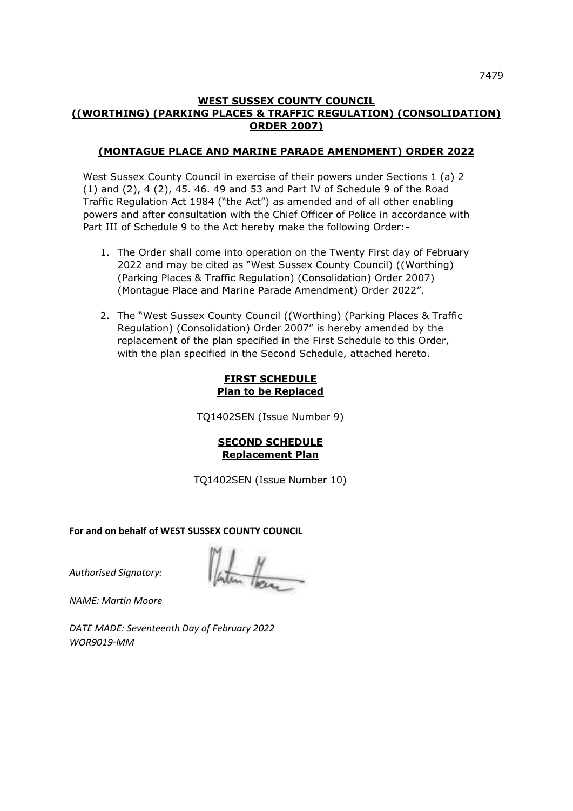### **WEST SUSSEX COUNTY COUNCIL ((WORTHING) (PARKING PLACES & TRAFFIC REGULATION) (CONSOLIDATION) ORDER 2007)**

### **(MONTAGUE PLACE AND MARINE PARADE AMENDMENT) ORDER 2022**

West Sussex County Council in exercise of their powers under Sections 1 (a) 2 (1) and (2), 4 (2), 45. 46. 49 and 53 and Part IV of Schedule 9 of the Road Traffic Regulation Act 1984 ("the Act") as amended and of all other enabling powers and after consultation with the Chief Officer of Police in accordance with Part III of Schedule 9 to the Act hereby make the following Order:-

- 1. The Order shall come into operation on the Twenty First day of February 2022 and may be cited as "West Sussex County Council) ((Worthing) (Parking Places & Traffic Regulation) (Consolidation) Order 2007) (Montague Place and Marine Parade Amendment) Order 2022".
- 2. The "West Sussex County Council ((Worthing) (Parking Places & Traffic Regulation) (Consolidation) Order 2007" is hereby amended by the replacement of the plan specified in the First Schedule to this Order, with the plan specified in the Second Schedule, attached hereto.

## **FIRST SCHEDULE Plan to be Replaced**

TQ1402SEN (Issue Number 9)

## **SECOND SCHEDULE Replacement Plan**

TQ1402SEN (Issue Number 10)

**For and on behalf of WEST SUSSEX COUNTY COUNCIL** 

*Authorised Signatory:* 

*NAME: Martin Moore*

*DATE MADE: Seventeenth Day of February 2022 WOR9019-MM*